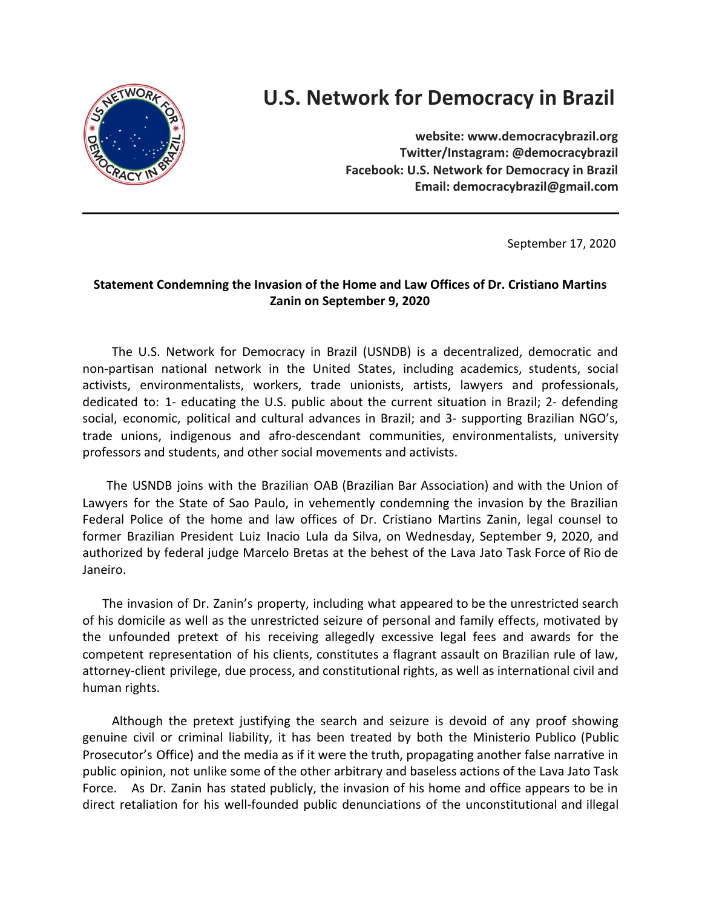

## **U.S. Network for Democracy in Brazil**

 **website: www.democracybrazil.org Twitter/Instagram: @democracybrazil Facebook: U.S. Network for Democracy in Brazil Email: democracybrazil@gmail.com**

September 17, 2020

## **Statement Condemning the Invasion of the Home and Law Offices of Dr. Cristiano Martins Zanin on September 9, 2020**

The U.S. Network for Democracy in Brazil (USNDB) is a decentralized, democratic and non-partisan national network in the United States, including academics, students, social activists, environmentalists, workers, trade unionists, artists, lawyers and professionals, dedicated to: 1- educating the U.S. public about the current situation in Brazil; 2- defending social, economic, political and cultural advances in Brazil; and 3- supporting Brazilian NGO's, trade unions, indigenous and afro-descendant communities, environmentalists, university professors and students, and other social movements and activists.

The USNDB joins with the Brazilian OAB (Brazilian Bar Association) and with the Union of Lawyers for the State of Sao Paulo, in vehemently condemning the invasion by the Brazilian Federal Police of the home and law offices of Dr. Cristiano Martins Zanin, legal counsel to former Brazilian President Luiz Inacio Lula da Silva, on Wednesday, September 9, 2020, and authorized by federal judge Marcelo Bretas at the behest of the Lava Jato Task Force of Rio de Janeiro.

The invasion of Dr. Zanin's property, including what appeared to be the unrestricted search of his domicile as well as the unrestricted seizure of personal and family effects, motivated by the unfounded pretext of his receiving allegedly excessive legal fees and awards for the competent representation of his clients, constitutes a flagrant assault on Brazilian rule of law, attorney-client privilege, due process, and constitutional rights, as well as international civil and human rights.

Although the pretext justifying the search and seizure is devoid of any proof showing genuine civil or criminal liability, it has been treated by both the Ministerio Publico (Public Prosecutor's Office) and the media as if it were the truth, propagating another false narrative in public opinion, not unlike some of the other arbitrary and baseless actions of the Lava Jato Task Force. As Dr. Zanin has stated publicly, the invasion of his home and office appears to be in direct retaliation for his well-founded public denunciations of the unconstitutional and illegal